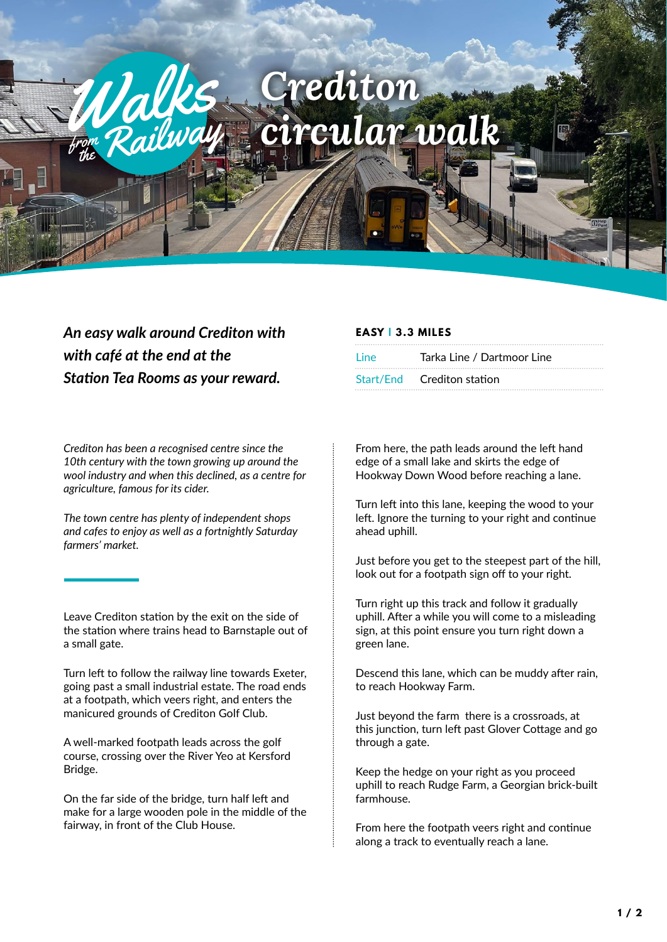## rediton **z**  $circular$  *walk* ren Railway

## *An easy walk around Crediton with with café at the end at the Station Tea Rooms as your reward.*

from

*Crediton has been a recognised centre since the 10th century with the town growing up around the wool industry and when this declined, as a centre for agriculture, famous for its cider.* 

*The town centre has plenty of independent shops and cafes to enjoy as well as a fortnightly Saturday farmers' market.* 

Leave Crediton station by the exit on the side of the station where trains head to Barnstaple out of a small gate.

Turn left to follow the railway line towards Exeter, going past a small industrial estate. The road ends at a footpath, which veers right, and enters the manicured grounds of Crediton Golf Club.

A well-marked footpath leads across the golf course, crossing over the River Yeo at Kersford Bridge.

On the far side of the bridge, turn half left and make for a large wooden pole in the middle of the fairway, in front of the Club House.

## **EASY | 3.3 MILES**

| line | <br>Tarka Line / Dartmoor Line |
|------|--------------------------------|
|      | Start/End Crediton station     |

From here, the path leads around the left hand edge of a small lake and skirts the edge of Hookway Down Wood before reaching a lane.

Turn left into this lane, keeping the wood to your left. Ignore the turning to your right and continue ahead uphill.

Just before you get to the steepest part of the hill, look out for a footpath sign off to your right.

Turn right up this track and follow it gradually uphill. After a while you will come to a misleading sign, at this point ensure you turn right down a green lane.

Descend this lane, which can be muddy after rain, to reach Hookway Farm.

Just beyond the farm there is a crossroads, at this junction, turn left past Glover Cottage and go through a gate.

Keep the hedge on your right as you proceed uphill to reach Rudge Farm, a Georgian brick-built farmhouse.

From here the footpath veers right and continue along a track to eventually reach a lane.